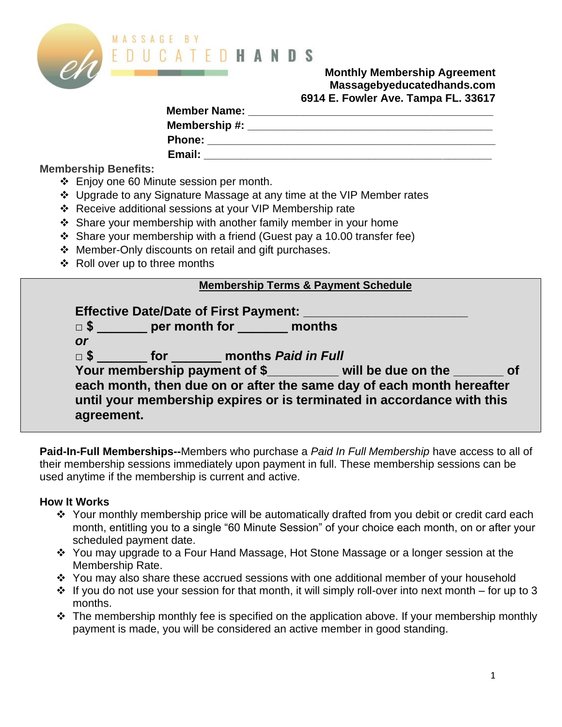

#### **Monthly Membership Agreement Massagebyeducatedhands.com 6914 E. Fowler Ave. Tampa FL. 33617**

| <b>Member Name:</b> |  |
|---------------------|--|
| Membership #:       |  |
| <b>Phone:</b>       |  |
| Email:              |  |

**Membership Benefits:**

- ❖ Enjoy one 60 Minute session per month.
- ❖ Upgrade to any Signature Massage at any time at the VIP Member rates
- ❖ Receive additional sessions at your VIP Membership rate
- ❖ Share your membership with another family member in your home
- ❖ Share your membership with a friend (Guest pay a 10.00 transfer fee)
- ❖ Member-Only discounts on retail and gift purchases.
- ❖ Roll over up to three months

#### **Membership Terms & Payment Schedule**

| <b>or</b>  | $\Box$ \$ _______ per month for ________ months                              |                                                                                                                                                                                                               |  |
|------------|------------------------------------------------------------------------------|---------------------------------------------------------------------------------------------------------------------------------------------------------------------------------------------------------------|--|
| $\Box$ \$  | <b>Example 15 rand fraction contracts</b> for the months <i>Paid in Full</i> |                                                                                                                                                                                                               |  |
| agreement. |                                                                              | Your membership payment of \$ will be due on the ______ of<br>each month, then due on or after the same day of each month hereafter<br>until your membership expires or is terminated in accordance with this |  |

**Paid-In-Full Memberships--**Members who purchase a *Paid In Full Membership* have access to all of their membership sessions immediately upon payment in full. These membership sessions can be used anytime if the membership is current and active.

### **How It Works**

- ❖ Your monthly membership price will be automatically drafted from you debit or credit card each month, entitling you to a single "60 Minute Session" of your choice each month, on or after your scheduled payment date.
- ❖ You may upgrade to a Four Hand Massage, Hot Stone Massage or a longer session at the Membership Rate.
- ❖ You may also share these accrued sessions with one additional member of your household
- $\cdot$  If you do not use your session for that month, it will simply roll-over into next month for up to 3 months.
- ❖ The membership monthly fee is specified on the application above. If your membership monthly payment is made, you will be considered an active member in good standing.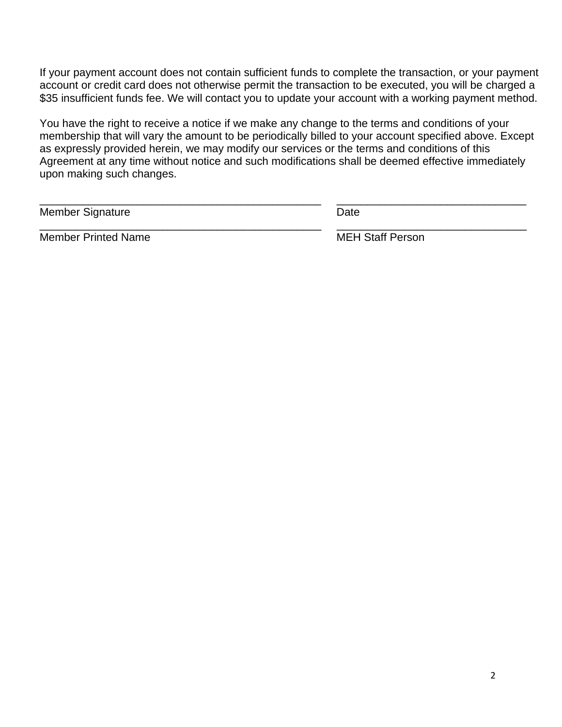If your payment account does not contain sufficient funds to complete the transaction, or your payment account or credit card does not otherwise permit the transaction to be executed, you will be charged a \$35 insufficient funds fee. We will contact you to update your account with a working payment method.

You have the right to receive a notice if we make any change to the terms and conditions of your membership that will vary the amount to be periodically billed to your account specified above. Except as expressly provided herein, we may modify our services or the terms and conditions of this Agreement at any time without notice and such modifications shall be deemed effective immediately upon making such changes.

\_\_\_\_\_\_\_\_\_\_\_\_\_\_\_\_\_\_\_\_\_\_\_\_\_\_\_\_\_\_\_\_\_\_\_\_\_\_\_\_\_\_\_\_\_\_ \_\_\_\_\_\_\_\_\_\_\_\_\_\_\_\_\_\_\_\_\_\_\_\_\_\_\_\_\_\_\_

Member Signature **Date** 

Member Printed Name MEH Staff Person

\_\_\_\_\_\_\_\_\_\_\_\_\_\_\_\_\_\_\_\_\_\_\_\_\_\_\_\_\_\_\_\_\_\_\_\_\_\_\_\_\_\_\_\_\_\_ \_\_\_\_\_\_\_\_\_\_\_\_\_\_\_\_\_\_\_\_\_\_\_\_\_\_\_\_\_\_\_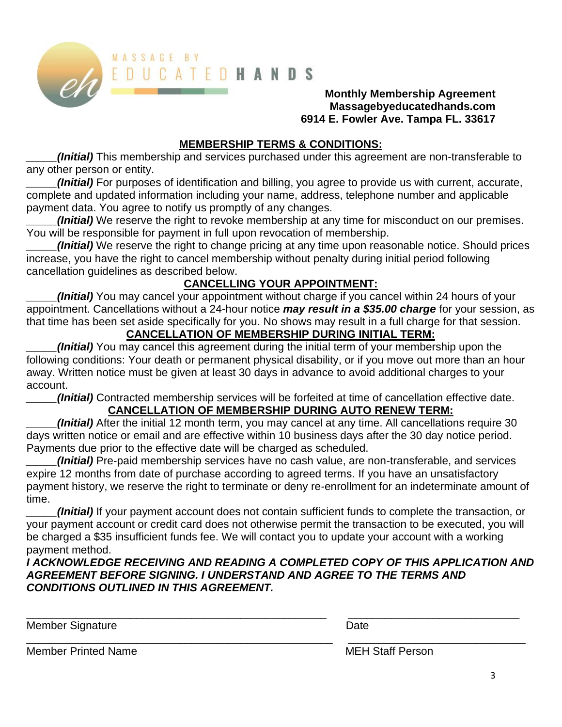

#### **Monthly Membership Agreement Massagebyeducatedhands.com 6914 E. Fowler Ave. Tampa FL. 33617**

## **MEMBERSHIP TERMS & CONDITIONS:**

*(Initial)* This membership and services purchased under this agreement are non-transferable to any other person or entity.

*\_\_\_\_\_(Initial)* For purposes of identification and billing, you agree to provide us with current, accurate, complete and updated information including your name, address, telephone number and applicable payment data. You agree to notify us promptly of any changes.

*(Initial)* We reserve the right to revoke membership at any time for misconduct on our premises. You will be responsible for payment in full upon revocation of membership.

*(Initial)* We reserve the right to change pricing at any time upon reasonable notice. Should prices increase, you have the right to cancel membership without penalty during initial period following cancellation guidelines as described below.

# **CANCELLING YOUR APPOINTMENT:**

*\_\_\_\_\_(Initial)* You may cancel your appointment without charge if you cancel within 24 hours of your appointment. Cancellations without a 24-hour notice *may result in a \$35.00 charge* for your session, as that time has been set aside specifically for you. No shows may result in a full charge for that session.

# **CANCELLATION OF MEMBERSHIP DURING INITIAL TERM:**

*\_\_\_\_\_(Initial)* You may cancel this agreement during the initial term of your membership upon the following conditions: Your death or permanent physical disability, or if you move out more than an hour away. Written notice must be given at least 30 days in advance to avoid additional charges to your account.

*\_\_\_\_\_(Initial)* Contracted membership services will be forfeited at time of cancellation effective date.

# **CANCELLATION OF MEMBERSHIP DURING AUTO RENEW TERM:**

*\_\_\_\_\_(Initial)* After the initial 12 month term, you may cancel at any time. All cancellations require 30 days written notice or email and are effective within 10 business days after the 30 day notice period. Payments due prior to the effective date will be charged as scheduled.

*\_\_\_\_\_(Initial)* Pre-paid membership services have no cash value, are non-transferable, and services expire 12 months from date of purchase according to agreed terms. If you have an unsatisfactory payment history, we reserve the right to terminate or deny re-enrollment for an indeterminate amount of time.

*\_\_\_\_\_(Initial)* If your payment account does not contain sufficient funds to complete the transaction, or your payment account or credit card does not otherwise permit the transaction to be executed, you will be charged a \$35 insufficient funds fee. We will contact you to update your account with a working payment method.

*I ACKNOWLEDGE RECEIVING AND READING A COMPLETED COPY OF THIS APPLICATION AND AGREEMENT BEFORE SIGNING. I UNDERSTAND AND AGREE TO THE TERMS AND CONDITIONS OUTLINED IN THIS AGREEMENT.*

\_\_\_\_\_\_\_\_\_\_\_\_\_\_\_\_\_\_\_\_\_\_\_\_\_\_\_\_\_\_\_\_\_\_\_\_\_\_\_\_\_\_\_\_\_\_\_\_\_ \_\_\_\_\_\_\_\_\_\_\_\_\_\_\_\_\_\_\_\_\_\_\_\_\_\_\_\_

Member Signature **Date** Date **Date** 

\_\_\_\_\_\_\_\_\_\_\_\_\_\_\_\_\_\_\_\_\_\_\_\_\_\_\_\_\_\_\_\_\_\_\_\_\_\_\_\_\_\_\_\_\_\_\_\_\_\_ \_\_\_\_\_\_\_\_\_\_\_\_\_\_\_\_\_\_\_\_\_\_\_\_\_\_\_\_\_ Member Printed Name MEH Staff Person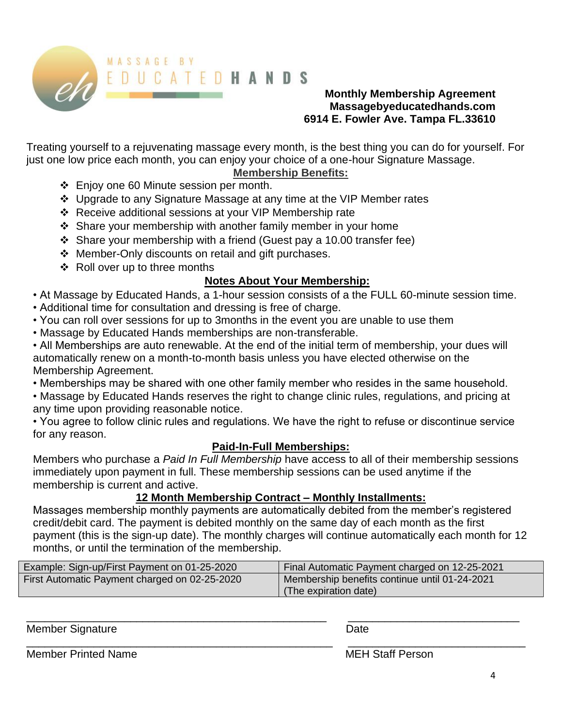

## **Monthly Membership Agreement Massagebyeducatedhands.com 6914 E. Fowler Ave. Tampa FL.33610**

Treating yourself to a rejuvenating massage every month, is the best thing you can do for yourself. For just one low price each month, you can enjoy your choice of a one-hour Signature Massage.

## **Membership Benefits:**

- ❖ Enjoy one 60 Minute session per month.
- ❖ Upgrade to any Signature Massage at any time at the VIP Member rates
- ❖ Receive additional sessions at your VIP Membership rate
- ❖ Share your membership with another family member in your home
- ❖ Share your membership with a friend (Guest pay a 10.00 transfer fee)
- ❖ Member-Only discounts on retail and gift purchases.
- ❖ Roll over up to three months

## **Notes About Your Membership:**

• At Massage by Educated Hands, a 1-hour session consists of a the FULL 60-minute session time.

- Additional time for consultation and dressing is free of charge.
- You can roll over sessions for up to 3months in the event you are unable to use them
- Massage by Educated Hands memberships are non-transferable.

• All Memberships are auto renewable. At the end of the initial term of membership, your dues will automatically renew on a month-to-month basis unless you have elected otherwise on the Membership Agreement.

- Memberships may be shared with one other family member who resides in the same household.
- Massage by Educated Hands reserves the right to change clinic rules, regulations, and pricing at any time upon providing reasonable notice.

• You agree to follow clinic rules and regulations. We have the right to refuse or discontinue service for any reason.

### **Paid-In-Full Memberships:**

Members who purchase a *Paid In Full Membership* have access to all of their membership sessions immediately upon payment in full. These membership sessions can be used anytime if the membership is current and active.

## **12 Month Membership Contract – Monthly Installments:**

Massages membership monthly payments are automatically debited from the member's registered credit/debit card. The payment is debited monthly on the same day of each month as the first payment (this is the sign-up date). The monthly charges will continue automatically each month for 12 months, or until the termination of the membership.

| Example: Sign-up/First Payment on 01-25-2020  | Final Automatic Payment charged on 12-25-2021 |
|-----------------------------------------------|-----------------------------------------------|
| First Automatic Payment charged on 02-25-2020 | Membership benefits continue until 01-24-2021 |
|                                               | (The expiration date)                         |

\_\_\_\_\_\_\_\_\_\_\_\_\_\_\_\_\_\_\_\_\_\_\_\_\_\_\_\_\_\_\_\_\_\_\_\_\_\_\_\_\_\_\_\_\_\_\_\_\_ \_\_\_\_\_\_\_\_\_\_\_\_\_\_\_\_\_\_\_\_\_\_\_\_\_\_\_\_

\_\_\_\_\_\_\_\_\_\_\_\_\_\_\_\_\_\_\_\_\_\_\_\_\_\_\_\_\_\_\_\_\_\_\_\_\_\_\_\_\_\_\_\_\_\_\_\_\_\_ \_\_\_\_\_\_\_\_\_\_\_\_\_\_\_\_\_\_\_\_\_\_\_\_\_\_\_\_\_

Member Signature **Date** 

Member Printed Name **MEH Staff Person**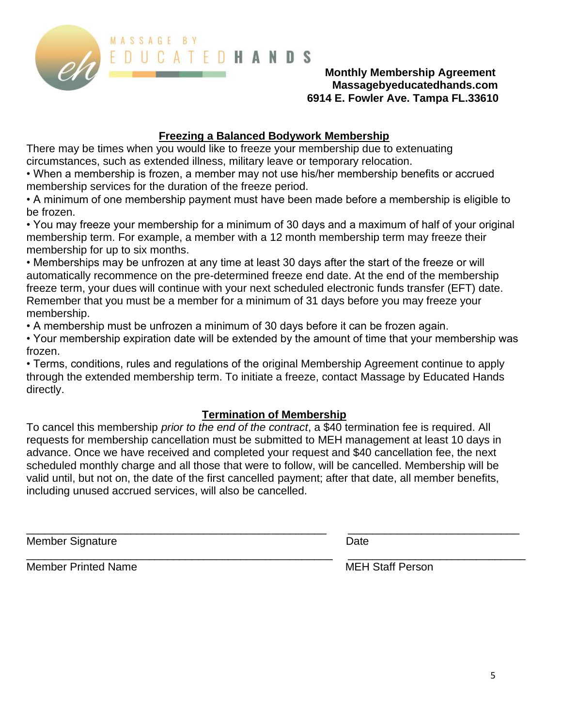

### **Monthly Membership Agreement Massagebyeducatedhands.com 6914 E. Fowler Ave. Tampa FL.33610**

## **Freezing a Balanced Bodywork Membership**

There may be times when you would like to freeze your membership due to extenuating circumstances, such as extended illness, military leave or temporary relocation.

• When a membership is frozen, a member may not use his/her membership benefits or accrued membership services for the duration of the freeze period.

• A minimum of one membership payment must have been made before a membership is eligible to be frozen.

• You may freeze your membership for a minimum of 30 days and a maximum of half of your original membership term. For example, a member with a 12 month membership term may freeze their membership for up to six months.

• Memberships may be unfrozen at any time at least 30 days after the start of the freeze or will automatically recommence on the pre-determined freeze end date. At the end of the membership freeze term, your dues will continue with your next scheduled electronic funds transfer (EFT) date. Remember that you must be a member for a minimum of 31 days before you may freeze your membership.

• A membership must be unfrozen a minimum of 30 days before it can be frozen again.

• Your membership expiration date will be extended by the amount of time that your membership was frozen.

• Terms, conditions, rules and regulations of the original Membership Agreement continue to apply through the extended membership term. To initiate a freeze, contact Massage by Educated Hands directly.

# **Termination of Membership**

To cancel this membership *prior to the end of the contract*, a \$40 termination fee is required. All requests for membership cancellation must be submitted to MEH management at least 10 days in advance. Once we have received and completed your request and \$40 cancellation fee, the next scheduled monthly charge and all those that were to follow, will be cancelled. Membership will be valid until, but not on, the date of the first cancelled payment; after that date, all member benefits, including unused accrued services, will also be cancelled.

\_\_\_\_\_\_\_\_\_\_\_\_\_\_\_\_\_\_\_\_\_\_\_\_\_\_\_\_\_\_\_\_\_\_\_\_\_\_\_\_\_\_\_\_\_\_\_\_\_ \_\_\_\_\_\_\_\_\_\_\_\_\_\_\_\_\_\_\_\_\_\_\_\_\_\_\_\_

Member Signature **Date** 

Member Printed Name MEH Staff Person

\_\_\_\_\_\_\_\_\_\_\_\_\_\_\_\_\_\_\_\_\_\_\_\_\_\_\_\_\_\_\_\_\_\_\_\_\_\_\_\_\_\_\_\_\_\_\_\_\_\_ \_\_\_\_\_\_\_\_\_\_\_\_\_\_\_\_\_\_\_\_\_\_\_\_\_\_\_\_\_